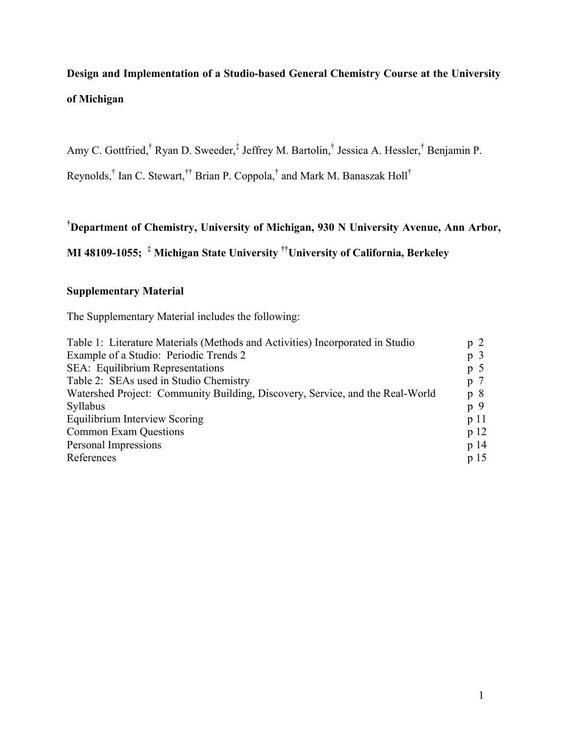# **Design and Implementation of a Studio-based General Chemistry Course at the University of Michigan**

Amy C. Gottfried,<sup>†</sup> Ryan D. Sweeder,<sup>‡</sup> Jeffrey M. Bartolin,<sup>†</sup> Jessica A. Hessler,<sup>†</sup> Benjamin P.

Reynolds,<sup>†</sup> Ian C. Stewart,<sup>††</sup> Brian P. Coppola,<sup>†</sup> and Mark M. Banaszak Holl<sup>†</sup>

# **† Department of Chemistry, University of Michigan, 930 N University Avenue, Ann Arbor,**

**MI 48109-1055; ‡ Michigan State University ††University of California, Berkeley** 

# **Supplementary Material**

The Supplementary Material includes the following:

| Table 1: Literature Materials (Methods and Activities) Incorporated in Studio | p <sub>2</sub>  |
|-------------------------------------------------------------------------------|-----------------|
| Example of a Studio: Periodic Trends 2                                        | p <sub>3</sub>  |
| SEA: Equilibrium Representations                                              | $p$ 5           |
| Table 2: SEAs used in Studio Chemistry                                        | p 7             |
| Watershed Project: Community Building, Discovery, Service, and the Real-World | p8              |
| Syllabus                                                                      | p 9             |
| Equilibrium Interview Scoring                                                 | p11             |
| <b>Common Exam Questions</b>                                                  | p <sub>12</sub> |
| Personal Impressions                                                          | p <sub>14</sub> |
| References                                                                    | p <sub>15</sub> |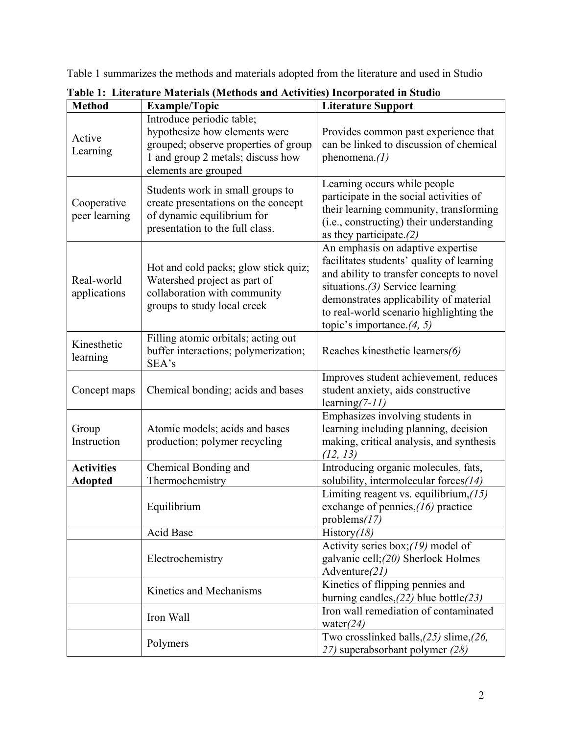Table 1 summarizes the methods and materials adopted from the literature and used in Studio

| <b>Method</b>                                                                                                   | <b>Example/Topic</b>                                                                                                                                            | <b>Literature Support</b>                                                                                                                                                                                                                                                              |  |
|-----------------------------------------------------------------------------------------------------------------|-----------------------------------------------------------------------------------------------------------------------------------------------------------------|----------------------------------------------------------------------------------------------------------------------------------------------------------------------------------------------------------------------------------------------------------------------------------------|--|
| Active<br>Learning                                                                                              | Introduce periodic table;<br>hypothesize how elements were<br>grouped; observe properties of group<br>1 and group 2 metals; discuss how<br>elements are grouped | Provides common past experience that<br>can be linked to discussion of chemical<br>phenomena. $(1)$                                                                                                                                                                                    |  |
| Cooperative<br>peer learning                                                                                    | Students work in small groups to<br>create presentations on the concept<br>of dynamic equilibrium for<br>presentation to the full class.                        | Learning occurs while people<br>participate in the social activities of<br>their learning community, transforming<br>(i.e., constructing) their understanding<br>as they participate. $(2)$                                                                                            |  |
| Real-world<br>applications                                                                                      | Hot and cold packs; glow stick quiz;<br>Watershed project as part of<br>collaboration with community<br>groups to study local creek                             | An emphasis on adaptive expertise<br>facilitates students' quality of learning<br>and ability to transfer concepts to novel<br>situations. $(3)$ Service learning<br>demonstrates applicability of material<br>to real-world scenario highlighting the<br>topic's importance. $(4, 5)$ |  |
| Filling atomic orbitals; acting out<br>Kinesthetic<br>buffer interactions; polymerization;<br>learning<br>SEA's |                                                                                                                                                                 | Reaches kinesthetic learners(6)                                                                                                                                                                                                                                                        |  |
| Concept maps                                                                                                    | Chemical bonding; acids and bases                                                                                                                               | Improves student achievement, reduces<br>student anxiety, aids constructive<br>learning $(7-11)$                                                                                                                                                                                       |  |
| Group<br>Instruction                                                                                            | Atomic models; acids and bases<br>production; polymer recycling                                                                                                 | Emphasizes involving students in<br>learning including planning, decision<br>making, critical analysis, and synthesis<br>(12, 13)                                                                                                                                                      |  |
| <b>Activities</b><br><b>Adopted</b>                                                                             | Chemical Bonding and<br>Thermochemistry                                                                                                                         | Introducing organic molecules, fats,<br>solubility, intermolecular forces $(14)$                                                                                                                                                                                                       |  |
|                                                                                                                 | Equilibrium                                                                                                                                                     | Limiting reagent vs. equilibrium, $(15)$<br>exchange of pennies, $(16)$ practice<br>problems $(17)$                                                                                                                                                                                    |  |
|                                                                                                                 | Acid Base                                                                                                                                                       | History $(18)$                                                                                                                                                                                                                                                                         |  |
|                                                                                                                 | Electrochemistry                                                                                                                                                | Activity series box; $(19)$ model of<br>galvanic cell; (20) Sherlock Holmes<br>Adventure $(21)$                                                                                                                                                                                        |  |
|                                                                                                                 | Kinetics and Mechanisms                                                                                                                                         | Kinetics of flipping pennies and<br>burning candles, $(22)$ blue bottle $(23)$                                                                                                                                                                                                         |  |
|                                                                                                                 | Iron Wall                                                                                                                                                       | Iron wall remediation of contaminated<br>water $(24)$                                                                                                                                                                                                                                  |  |
|                                                                                                                 | Polymers                                                                                                                                                        | Two crosslinked balls, $(25)$ slime, $(26)$ ,<br>27) superabsorbant polymer (28)                                                                                                                                                                                                       |  |

**Table 1: Literature Materials (Methods and Activities) Incorporated in Studio**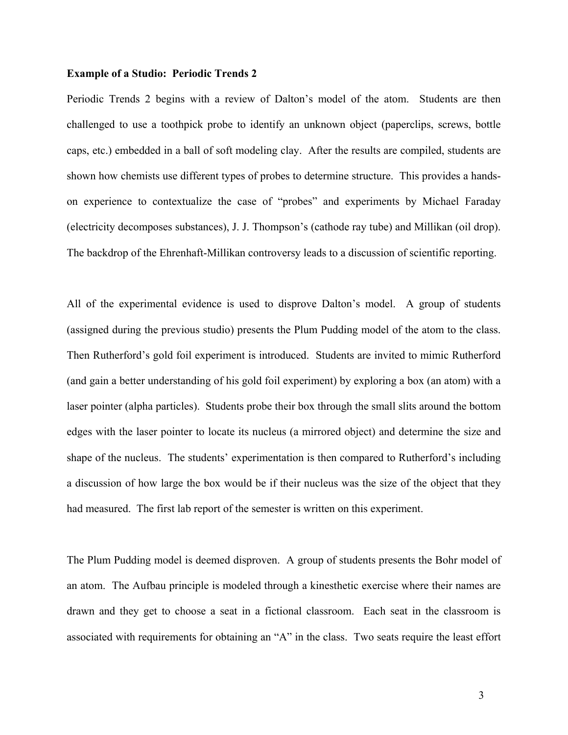#### **Example of a Studio: Periodic Trends 2**

Periodic Trends 2 begins with a review of Dalton's model of the atom. Students are then challenged to use a toothpick probe to identify an unknown object (paperclips, screws, bottle caps, etc.) embedded in a ball of soft modeling clay. After the results are compiled, students are shown how chemists use different types of probes to determine structure. This provides a handson experience to contextualize the case of "probes" and experiments by Michael Faraday (electricity decomposes substances), J. J. Thompson's (cathode ray tube) and Millikan (oil drop). The backdrop of the Ehrenhaft-Millikan controversy leads to a discussion of scientific reporting.

All of the experimental evidence is used to disprove Dalton's model. A group of students (assigned during the previous studio) presents the Plum Pudding model of the atom to the class. Then Rutherford's gold foil experiment is introduced. Students are invited to mimic Rutherford (and gain a better understanding of his gold foil experiment) by exploring a box (an atom) with a laser pointer (alpha particles). Students probe their box through the small slits around the bottom edges with the laser pointer to locate its nucleus (a mirrored object) and determine the size and shape of the nucleus. The students' experimentation is then compared to Rutherford's including a discussion of how large the box would be if their nucleus was the size of the object that they had measured. The first lab report of the semester is written on this experiment.

The Plum Pudding model is deemed disproven. A group of students presents the Bohr model of an atom. The Aufbau principle is modeled through a kinesthetic exercise where their names are drawn and they get to choose a seat in a fictional classroom. Each seat in the classroom is associated with requirements for obtaining an "A" in the class. Two seats require the least effort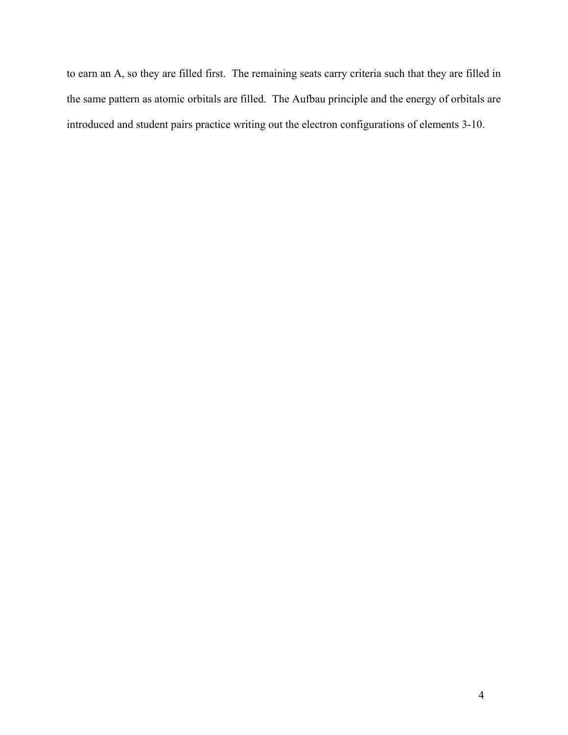to earn an A, so they are filled first. The remaining seats carry criteria such that they are filled in the same pattern as atomic orbitals are filled. The Aufbau principle and the energy of orbitals are introduced and student pairs practice writing out the electron configurations of elements 3-10.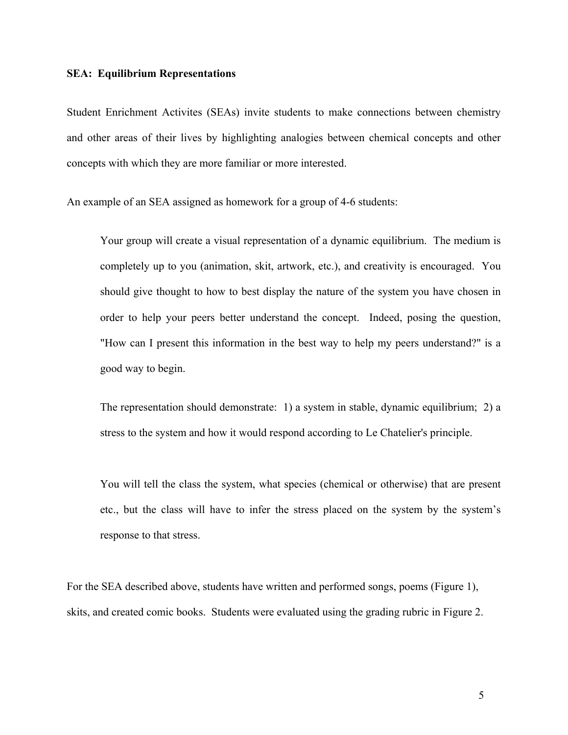#### **SEA: Equilibrium Representations**

Student Enrichment Activites (SEAs) invite students to make connections between chemistry and other areas of their lives by highlighting analogies between chemical concepts and other concepts with which they are more familiar or more interested.

An example of an SEA assigned as homework for a group of 4-6 students:

Your group will create a visual representation of a dynamic equilibrium. The medium is completely up to you (animation, skit, artwork, etc.), and creativity is encouraged. You should give thought to how to best display the nature of the system you have chosen in order to help your peers better understand the concept. Indeed, posing the question, "How can I present this information in the best way to help my peers understand?" is a good way to begin.

The representation should demonstrate: 1) a system in stable, dynamic equilibrium; 2) a stress to the system and how it would respond according to Le Chatelier's principle.

You will tell the class the system, what species (chemical or otherwise) that are present etc., but the class will have to infer the stress placed on the system by the system's response to that stress.

For the SEA described above, students have written and performed songs, poems (Figure 1), skits, and created comic books. Students were evaluated using the grading rubric in Figure 2.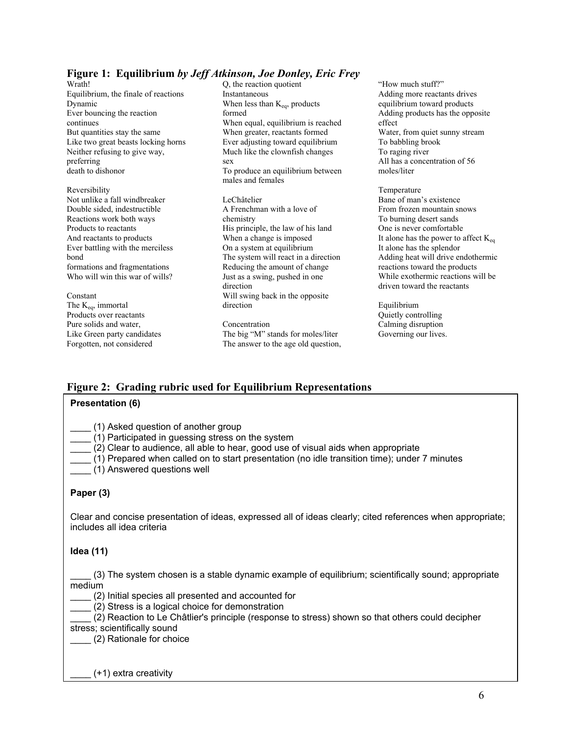## **Figure 1: Equilibrium** *by Jeff Atkinson, Joe Donley, Eric Frey*

- Wrath! Equilibrium, the finale of reactions Dynamic Ever bouncing the reaction continues But quantities stay the same Like two great beasts locking horns Neither refusing to give way, preferring death to dishonor
- Reversibility Not unlike a fall windbreaker Double sided, indestructible Reactions work both ways Products to reactants And reactants to products Ever battling with the merciless bond formations and fragmentations Who will win this war of wills?

Constant The Keq, immortal Products over reactants Pure solids and water, Like Green party candidates Forgotten, not considered

Q, the reaction quotient Instantaneous When less than  $K_{eq}$ , products formed When equal, equilibrium is reached When greater, reactants formed Ever adjusting toward equilibrium Much like the clownfish changes sex To produce an equilibrium between males and females LeChâtelier

A Frenchman with a love of chemistry His principle, the law of his land When a change is imposed On a system at equilibrium The system will react in a direction Reducing the amount of change Just as a swing, pushed in one direction Will swing back in the opposite direction

Concentration The big "M" stands for moles/liter The answer to the age old question, "How much stuff?" Adding more reactants drives equilibrium toward products Adding products has the opposite effect Water, from quiet sunny stream To babbling brook To raging river All has a concentration of 56 moles/liter

Temperature Bane of man's existence From frozen mountain snows To burning desert sands One is never comfortable It alone has the power to affect  $K_{eq}$ It alone has the splendor Adding heat will drive endothermic reactions toward the products While exothermic reactions will be driven toward the reactants

Equilibrium Quietly controlling Calming disruption Governing our lives.

# **Figure 2: Grading rubric used for Equilibrium Representations**

#### **Presentation (6)**

| (1) Asked question of another group |  |
|-------------------------------------|--|
|-------------------------------------|--|

- \_\_\_\_ (1) Participated in guessing stress on the system
- \_\_\_\_ (2) Clear to audience, all able to hear, good use of visual aids when appropriate
- \_\_\_\_ (1) Prepared when called on to start presentation (no idle transition time); under 7 minutes
- \_\_\_\_ (1) Answered questions well

#### **Paper (3)**

Clear and concise presentation of ideas, expressed all of ideas clearly; cited references when appropriate; includes all idea criteria

#### **Idea (11)**

\_\_\_\_ (3) The system chosen is a stable dynamic example of equilibrium; scientifically sound; appropriate medium

\_\_\_\_ (2) Initial species all presented and accounted for

\_\_\_\_ (2) Stress is a logical choice for demonstration

\_\_\_\_ (2) Reaction to Le Châtlier's principle (response to stress) shown so that others could decipher stress; scientifically sound

\_\_\_\_ (2) Rationale for choice

 $(+1)$  extra creativity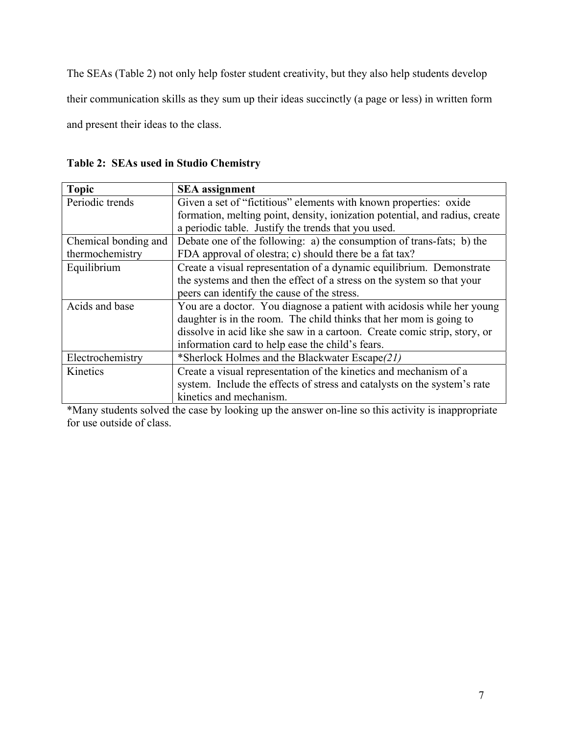The SEAs (Table 2) not only help foster student creativity, but they also help students develop their communication skills as they sum up their ideas succinctly (a page or less) in written form and present their ideas to the class.

**Table 2: SEAs used in Studio Chemistry** 

| <b>Topic</b>         | <b>SEA</b> assignment                                                       |
|----------------------|-----------------------------------------------------------------------------|
| Periodic trends      | Given a set of "fictitious" elements with known properties: oxide           |
|                      | formation, melting point, density, ionization potential, and radius, create |
|                      | a periodic table. Justify the trends that you used.                         |
| Chemical bonding and | Debate one of the following: a) the consumption of trans-fats; b) the       |
| thermochemistry      | FDA approval of olestra; c) should there be a fat tax?                      |
| Equilibrium          | Create a visual representation of a dynamic equilibrium. Demonstrate        |
|                      | the systems and then the effect of a stress on the system so that your      |
|                      | peers can identify the cause of the stress.                                 |
| Acids and base       | You are a doctor. You diagnose a patient with acidosis while her young      |
|                      | daughter is in the room. The child thinks that her mom is going to          |
|                      | dissolve in acid like she saw in a cartoon. Create comic strip, story, or   |
|                      | information card to help ease the child's fears.                            |
| Electrochemistry     | *Sherlock Holmes and the Blackwater Escape(21)                              |
| Kinetics             | Create a visual representation of the kinetics and mechanism of a           |
|                      | system. Include the effects of stress and catalysts on the system's rate    |
|                      | kinetics and mechanism.                                                     |

\*Many students solved the case by looking up the answer on-line so this activity is inappropriate for use outside of class.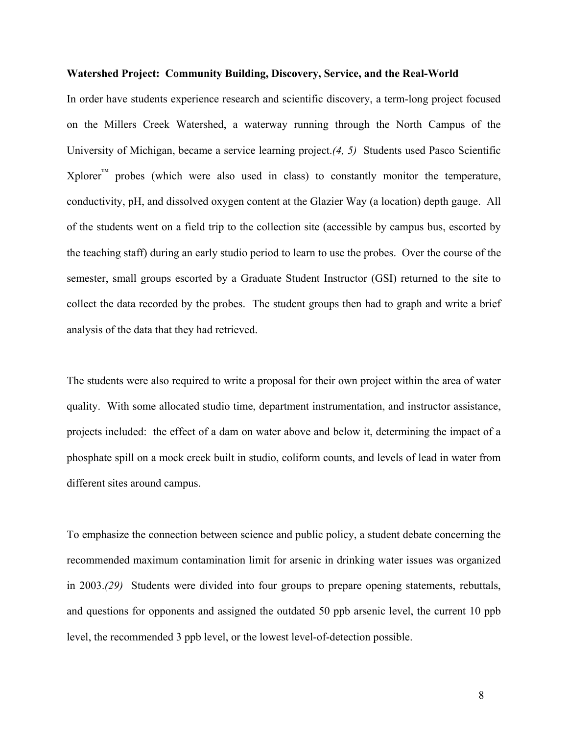#### **Watershed Project: Community Building, Discovery, Service, and the Real-World**

In order have students experience research and scientific discovery, a term-long project focused on the Millers Creek Watershed, a waterway running through the North Campus of the University of Michigan, became a service learning project.*(4, 5)* Students used Pasco Scientific  $X$ plorer<sup>™</sup> probes (which were also used in class) to constantly monitor the temperature, conductivity, pH, and dissolved oxygen content at the Glazier Way (a location) depth gauge. All of the students went on a field trip to the collection site (accessible by campus bus, escorted by the teaching staff) during an early studio period to learn to use the probes. Over the course of the semester, small groups escorted by a Graduate Student Instructor (GSI) returned to the site to collect the data recorded by the probes. The student groups then had to graph and write a brief analysis of the data that they had retrieved.

The students were also required to write a proposal for their own project within the area of water quality. With some allocated studio time, department instrumentation, and instructor assistance, projects included: the effect of a dam on water above and below it, determining the impact of a phosphate spill on a mock creek built in studio, coliform counts, and levels of lead in water from different sites around campus.

To emphasize the connection between science and public policy, a student debate concerning the recommended maximum contamination limit for arsenic in drinking water issues was organized in 2003.*(29)* Students were divided into four groups to prepare opening statements, rebuttals, and questions for opponents and assigned the outdated 50 ppb arsenic level, the current 10 ppb level, the recommended 3 ppb level, or the lowest level-of-detection possible.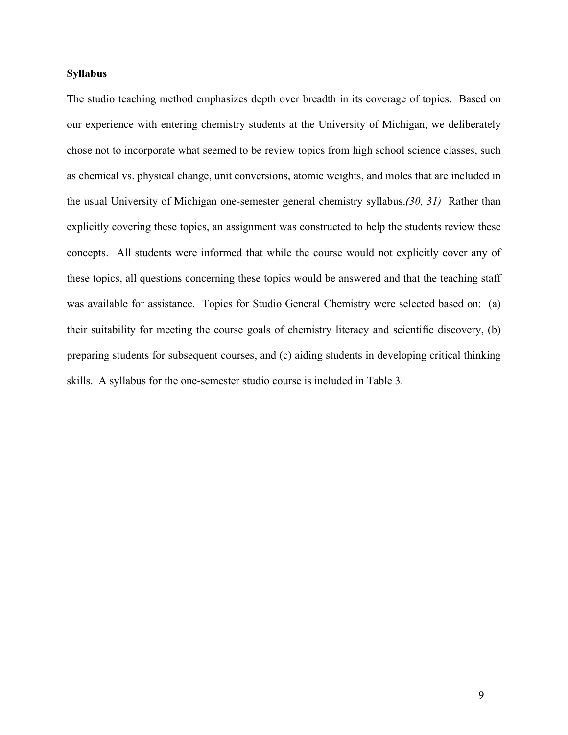#### **Syllabus**

The studio teaching method emphasizes depth over breadth in its coverage of topics. Based on our experience with entering chemistry students at the University of Michigan, we deliberately chose not to incorporate what seemed to be review topics from high school science classes, such as chemical vs. physical change, unit conversions, atomic weights, and moles that are included in the usual University of Michigan one-semester general chemistry syllabus.*(30, 31)* Rather than explicitly covering these topics, an assignment was constructed to help the students review these concepts. All students were informed that while the course would not explicitly cover any of these topics, all questions concerning these topics would be answered and that the teaching staff was available for assistance. Topics for Studio General Chemistry were selected based on: (a) their suitability for meeting the course goals of chemistry literacy and scientific discovery, (b) preparing students for subsequent courses, and (c) aiding students in developing critical thinking skills. A syllabus for the one-semester studio course is included in Table 3.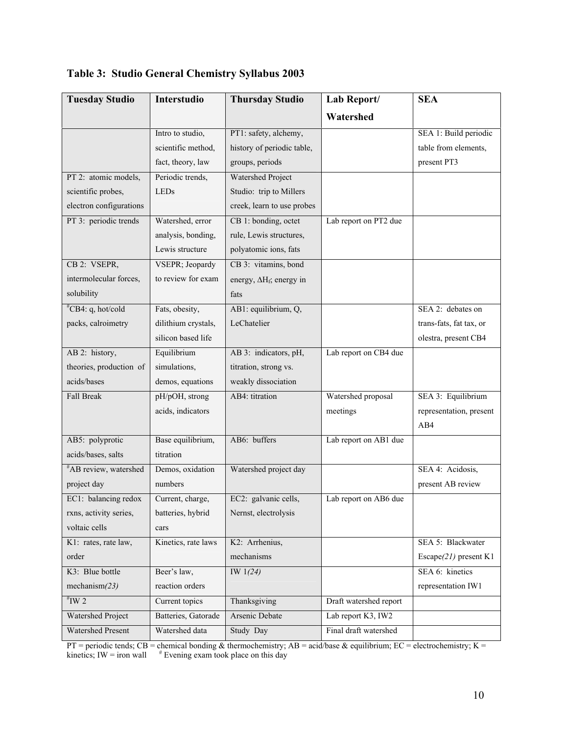| <b>Tuesday Studio</b>             | Interstudio         | <b>Thursday Studio</b>           | Lab Report/            | <b>SEA</b>               |
|-----------------------------------|---------------------|----------------------------------|------------------------|--------------------------|
|                                   |                     |                                  | Watershed              |                          |
|                                   | Intro to studio,    | PT1: safety, alchemy,            |                        | SEA 1: Build periodic    |
|                                   | scientific method,  | history of periodic table,       |                        | table from elements,     |
|                                   | fact, theory, law   | groups, periods                  |                        | present PT3              |
| PT 2: atomic models,              | Periodic trends,    | Watershed Project                |                        |                          |
| scientific probes,                | <b>LEDs</b>         | Studio: trip to Millers          |                        |                          |
| electron configurations           |                     | creek, learn to use probes       |                        |                          |
| PT 3: periodic trends             | Watershed, error    | CB 1: bonding, octet             | Lab report on PT2 due  |                          |
|                                   | analysis, bonding,  | rule, Lewis structures,          |                        |                          |
|                                   | Lewis structure     | polyatomic ions, fats            |                        |                          |
| CB 2: VSEPR,                      | VSEPR; Jeopardy     | CB 3: vitamins, bond             |                        |                          |
| intermolecular forces,            | to review for exam  | energy, $\Delta H_f$ ; energy in |                        |                          |
| solubility                        |                     | fats                             |                        |                          |
| $^{\#}CB4$ : q, hot/cold          | Fats, obesity,      | AB1: equilibrium, Q,             |                        | SEA 2: debates on        |
| packs, calroimetry                | dilithium crystals, | LeChatelier                      |                        | trans-fats, fat tax, or  |
|                                   | silicon based life  |                                  |                        | olestra, present CB4     |
| AB 2: history,                    | Equilibrium         | AB 3: indicators, pH,            | Lab report on CB4 due  |                          |
| theories, production of           | simulations,        | titration, strong vs.            |                        |                          |
| acids/bases                       | demos, equations    | weakly dissociation              |                        |                          |
| <b>Fall Break</b>                 | pH/pOH, strong      | AB4: titration                   | Watershed proposal     | SEA 3: Equilibrium       |
|                                   | acids, indicators   |                                  | meetings               | representation, present  |
|                                   |                     |                                  |                        | AB4                      |
| AB5: polyprotic                   | Base equilibrium,   | AB6: buffers                     | Lab report on AB1 due  |                          |
| acids/bases, salts                | titration           |                                  |                        |                          |
| <sup>#</sup> AB review, watershed | Demos, oxidation    | Watershed project day            |                        | SEA 4: Acidosis,         |
| project day                       | numbers             |                                  |                        | present AB review        |
| EC1: balancing redox              | Current, charge,    | EC2: galvanic cells,             | Lab report on AB6 due  |                          |
| rxns, activity series,            | batteries, hybrid   | Nernst, electrolysis             |                        |                          |
| voltaic cells                     | cars                |                                  |                        |                          |
| K1: rates, rate law,              | Kinetics, rate laws | K2: Arrhenius,                   |                        | SEA 5: Blackwater        |
| order                             |                     | mechanisms                       |                        | Escape $(21)$ present K1 |
| K3: Blue bottle                   | Beer's law,         | IW $1(24)$                       |                        | SEA 6: kinetics          |
| mechanism $(23)$                  | reaction orders     |                                  |                        | representation IW1       |
| $H^*$ IW 2                        | Current topics      | Thanksgiving                     | Draft watershed report |                          |
| Watershed Project                 | Batteries, Gatorade | Arsenic Debate                   | Lab report K3, IW2     |                          |
| <b>Watershed Present</b>          | Watershed data      | Study Day                        | Final draft watershed  |                          |

**Table 3: Studio General Chemistry Syllabus 2003** 

PT = periodic tends; CB = chemical bonding & thermochemistry; AB = acid/base & equilibrium; EC = electrochemistry; K = kinetics; IW = iron wall  $*$  Evening exam took place on this day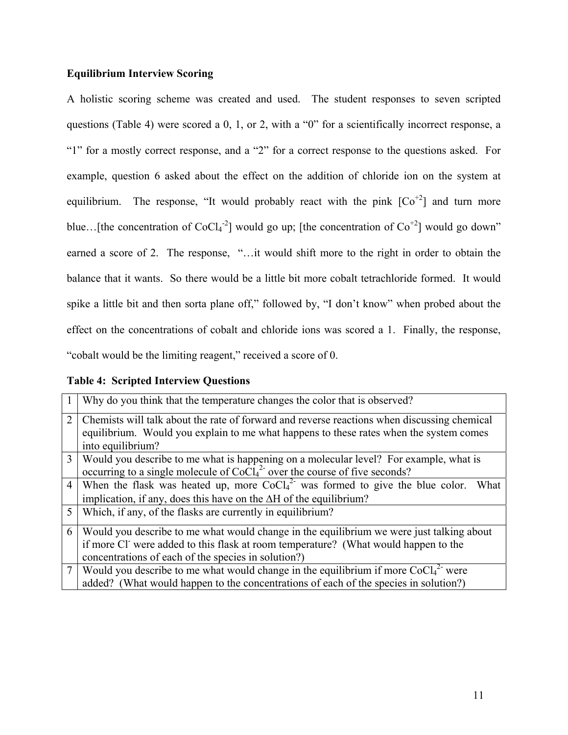# **Equilibrium Interview Scoring**

A holistic scoring scheme was created and used. The student responses to seven scripted questions (Table 4) were scored a 0, 1, or 2, with a "0" for a scientifically incorrect response, a "1" for a mostly correct response, and a "2" for a correct response to the questions asked. For example, question 6 asked about the effect on the addition of chloride ion on the system at equilibrium. The response, "It would probably react with the pink  $[Co^{+2}]$  and turn more blue...[the concentration of CoCl<sub>4</sub><sup>-2</sup>] would go up; [the concentration of Co<sup>+2</sup>] would go down" earned a score of 2. The response, "…it would shift more to the right in order to obtain the balance that it wants. So there would be a little bit more cobalt tetrachloride formed. It would spike a little bit and then sorta plane off," followed by, "I don't know" when probed about the effect on the concentrations of cobalt and chloride ions was scored a 1. Finally, the response, "cobalt would be the limiting reagent," received a score of 0.

|                | Why do you think that the temperature changes the color that is observed?                                                                                                             |
|----------------|---------------------------------------------------------------------------------------------------------------------------------------------------------------------------------------|
| $\overline{2}$ | Chemists will talk about the rate of forward and reverse reactions when discussing chemical<br>equilibrium. Would you explain to me what happens to these rates when the system comes |
|                | into equilibrium?                                                                                                                                                                     |
| 3              | Would you describe to me what is happening on a molecular level? For example, what is                                                                                                 |
|                | occurring to a single molecule of $CoCl42$ over the course of five seconds?                                                                                                           |
| $\overline{4}$ | When the flask was heated up, more $CoCl42$ was formed to give the blue color.<br>What                                                                                                |
|                | implication, if any, does this have on the $\Delta H$ of the equilibrium?                                                                                                             |
| 5              | Which, if any, of the flasks are currently in equilibrium?                                                                                                                            |
| 6              | Would you describe to me what would change in the equilibrium we were just talking about                                                                                              |
|                | if more Cl were added to this flask at room temperature? (What would happen to the                                                                                                    |
|                | concentrations of each of the species in solution?)                                                                                                                                   |
|                | Would you describe to me what would change in the equilibrium if more $CoCl42$ were                                                                                                   |
|                | added? (What would happen to the concentrations of each of the species in solution?)                                                                                                  |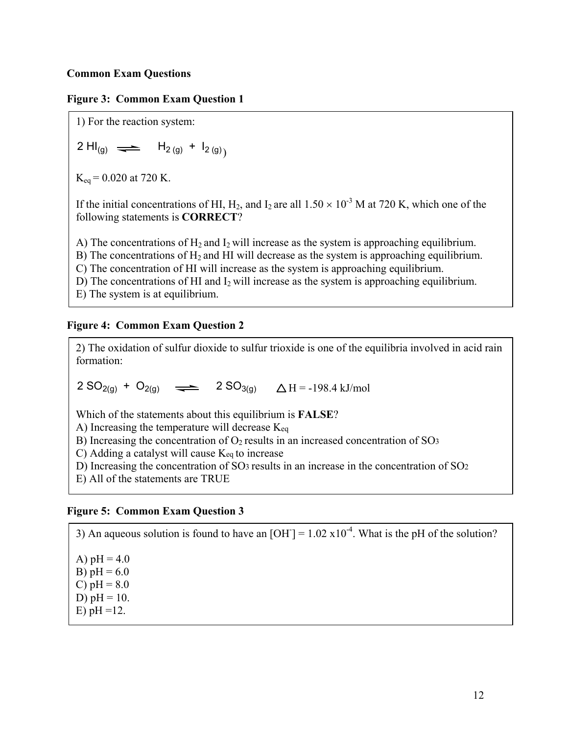## **Common Exam Questions**

#### **Figure 3: Common Exam Question 1**

1) For the reaction system:

2 H $I_{(g)} \implies H_{2 (g)} + I_{2 (g)}$ 

 $K_{eq} = 0.020$  at 720 K.

If the initial concentrations of HI, H<sub>2</sub>, and I<sub>2</sub> are all  $1.50 \times 10^{-3}$  M at 720 K, which one of the following statements is **CORRECT**?

A) The concentrations of  $H_2$  and  $I_2$  will increase as the system is approaching equilibrium.

B) The concentrations of  $H_2$  and HI will decrease as the system is approaching equilibrium.

C) The concentration of HI will increase as the system is approaching equilibrium.

D) The concentrations of HI and  $I_2$  will increase as the system is approaching equilibrium.

E) The system is at equilibrium.

#### **Figure 4: Common Exam Question 2**

2) The oxidation of sulfur dioxide to sulfur trioxide is one of the equilibria involved in acid rain formation:

 $2 SO_{2(q)} + O_{2(q)} \implies 2 SO_{3(q)} \Delta H = -198.4 \text{ kJ/mol}$ 

Which of the statements about this equilibrium is **FALSE**?

A) Increasing the temperature will decrease Keq

B) Increasing the concentration of  $O<sub>2</sub>$  results in an increased concentration of SO<sub>3</sub>

C) Adding a catalyst will cause Keq to increase

D) Increasing the concentration of SO3 results in an increase in the concentration of SO2

E) All of the statements are TRUE

#### **Figure 5: Common Exam Question 3**

3) An aqueous solution is found to have an  $[OH] = 1.02 \times 10^{-4}$ . What is the pH of the solution? A)  $pH = 4.0$ B)  $pH = 6.0$ C)  $pH = 8.0$ D)  $pH = 10$ . E)  $pH = 12$ .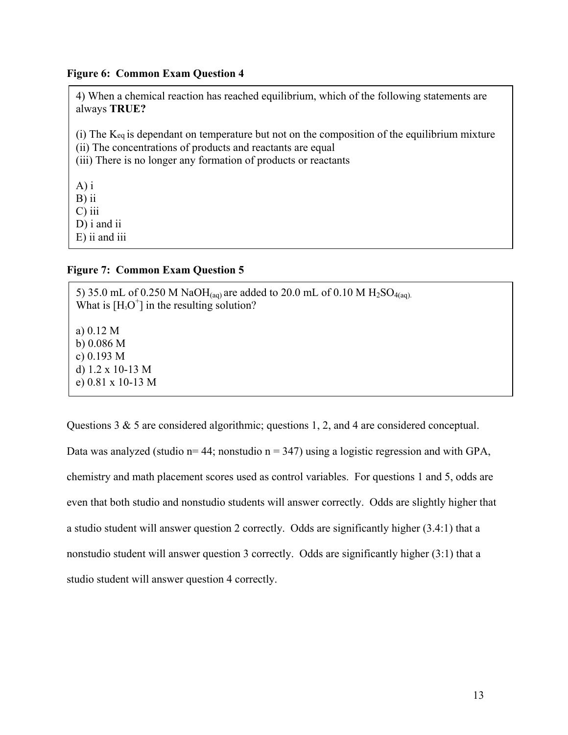#### **Figure 6: Common Exam Question 4**

4) When a chemical reaction has reached equilibrium, which of the following statements are always **TRUE?**  (i) The Keq is dependant on temperature but not on the composition of the equilibrium mixture (ii) The concentrations of products and reactants are equal (iii) There is no longer any formation of products or reactants A) i B) ii

C) iii D) i and ii

E) ii and iii

## **Figure 7: Common Exam Question 5**

5) 35.0 mL of 0.250 M NaOH(aq) are added to 20.0 mL of 0.10 M H<sub>2</sub>SO<sub>4(aq)</sub>. What is  $[H<sub>3</sub>O<sup>+</sup>]$  in the resulting solution? a) 0.12 M b) 0.086 M c) 0.193 M d) 1.2 x 10-13 M e) 0.81 x 10-13 M

Questions 3 & 5 are considered algorithmic; questions 1, 2, and 4 are considered conceptual. Data was analyzed (studio  $n=44$ ; nonstudio  $n=347$ ) using a logistic regression and with GPA, chemistry and math placement scores used as control variables. For questions 1 and 5, odds are even that both studio and nonstudio students will answer correctly. Odds are slightly higher that a studio student will answer question 2 correctly. Odds are significantly higher (3.4:1) that a nonstudio student will answer question 3 correctly. Odds are significantly higher (3:1) that a studio student will answer question 4 correctly.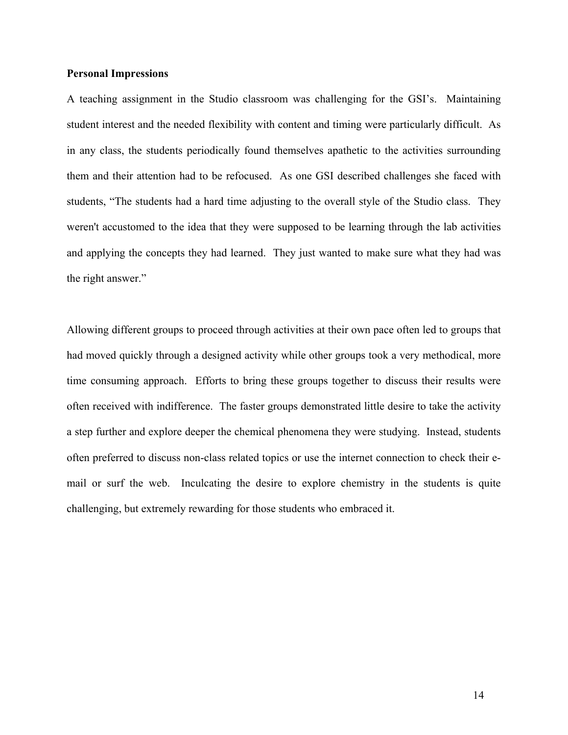#### **Personal Impressions**

A teaching assignment in the Studio classroom was challenging for the GSI's. Maintaining student interest and the needed flexibility with content and timing were particularly difficult. As in any class, the students periodically found themselves apathetic to the activities surrounding them and their attention had to be refocused. As one GSI described challenges she faced with students, "The students had a hard time adjusting to the overall style of the Studio class. They weren't accustomed to the idea that they were supposed to be learning through the lab activities and applying the concepts they had learned. They just wanted to make sure what they had was the right answer."

Allowing different groups to proceed through activities at their own pace often led to groups that had moved quickly through a designed activity while other groups took a very methodical, more time consuming approach. Efforts to bring these groups together to discuss their results were often received with indifference. The faster groups demonstrated little desire to take the activity a step further and explore deeper the chemical phenomena they were studying. Instead, students often preferred to discuss non-class related topics or use the internet connection to check their email or surf the web. Inculcating the desire to explore chemistry in the students is quite challenging, but extremely rewarding for those students who embraced it.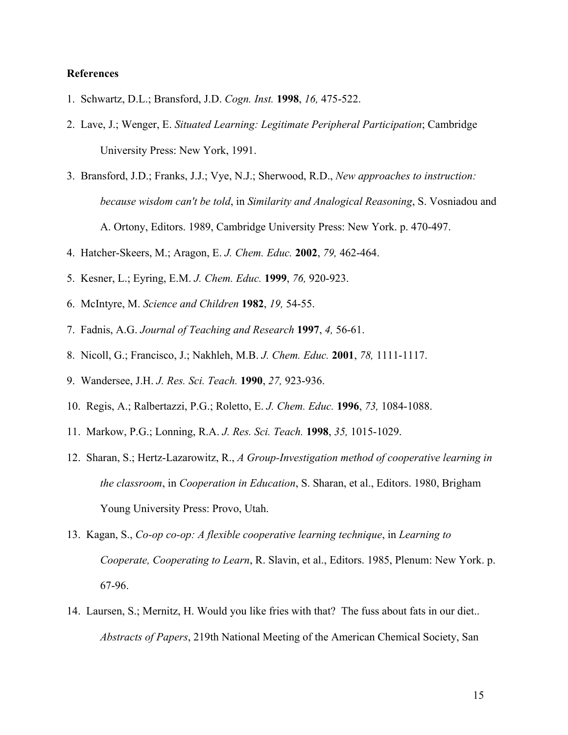#### **References**

- 1. Schwartz, D.L.; Bransford, J.D. *Cogn. Inst.* **1998**, *16,* 475-522.
- 2. Lave, J.; Wenger, E. *Situated Learning: Legitimate Peripheral Participation*; Cambridge University Press: New York, 1991.
- 3. Bransford, J.D.; Franks, J.J.; Vye, N.J.; Sherwood, R.D., *New approaches to instruction: because wisdom can't be told*, in *Similarity and Analogical Reasoning*, S. Vosniadou and A. Ortony, Editors. 1989, Cambridge University Press: New York. p. 470-497.
- 4. Hatcher-Skeers, M.; Aragon, E. *J. Chem. Educ.* **2002**, *79,* 462-464.
- 5. Kesner, L.; Eyring, E.M. *J. Chem. Educ.* **1999**, *76,* 920-923.
- 6. McIntyre, M. *Science and Children* **1982**, *19,* 54-55.
- 7. Fadnis, A.G. *Journal of Teaching and Research* **1997**, *4,* 56-61.
- 8. Nicoll, G.; Francisco, J.; Nakhleh, M.B. *J. Chem. Educ.* **2001**, *78,* 1111-1117.
- 9. Wandersee, J.H. *J. Res. Sci. Teach.* **1990**, *27,* 923-936.
- 10. Regis, A.; Ralbertazzi, P.G.; Roletto, E. *J. Chem. Educ.* **1996**, *73,* 1084-1088.
- 11. Markow, P.G.; Lonning, R.A. *J. Res. Sci. Teach.* **1998**, *35,* 1015-1029.
- 12. Sharan, S.; Hertz-Lazarowitz, R., *A Group-Investigation method of cooperative learning in the classroom*, in *Cooperation in Education*, S. Sharan, et al., Editors. 1980, Brigham Young University Press: Provo, Utah.
- 13. Kagan, S., *Co-op co-op: A flexible cooperative learning technique*, in *Learning to Cooperate, Cooperating to Learn*, R. Slavin, et al., Editors. 1985, Plenum: New York. p. 67-96.
- 14. Laursen, S.; Mernitz, H. Would you like fries with that? The fuss about fats in our diet.. *Abstracts of Papers*, 219th National Meeting of the American Chemical Society, San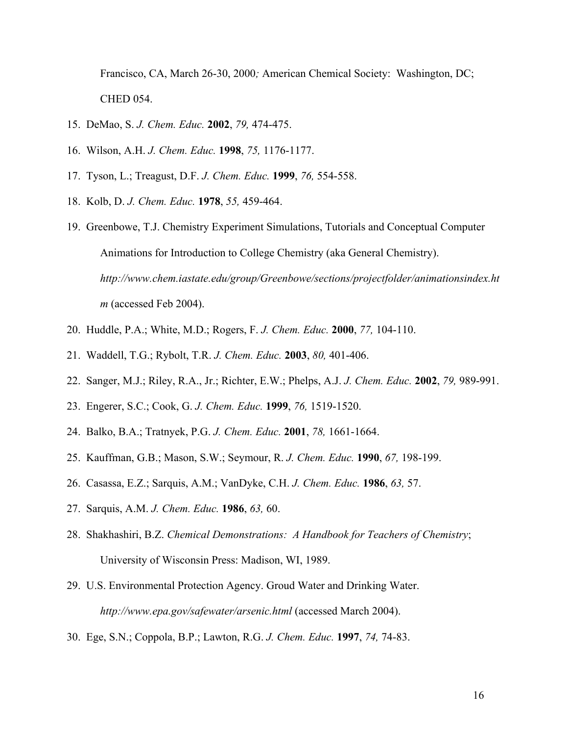Francisco, CA, March 26-30, 2000*;* American Chemical Society: Washington, DC; CHED 054.

- 15. DeMao, S. *J. Chem. Educ.* **2002**, *79,* 474-475.
- 16. Wilson, A.H. *J. Chem. Educ.* **1998**, *75,* 1176-1177.
- 17. Tyson, L.; Treagust, D.F. *J. Chem. Educ.* **1999**, *76,* 554-558.
- 18. Kolb, D. *J. Chem. Educ.* **1978**, *55,* 459-464.
- 19. Greenbowe, T.J. Chemistry Experiment Simulations, Tutorials and Conceptual Computer Animations for Introduction to College Chemistry (aka General Chemistry). *http://www.chem.iastate.edu/group/Greenbowe/sections/projectfolder/animationsindex.ht m* (accessed Feb 2004).
- 20. Huddle, P.A.; White, M.D.; Rogers, F. *J. Chem. Educ.* **2000**, *77,* 104-110.
- 21. Waddell, T.G.; Rybolt, T.R. *J. Chem. Educ.* **2003**, *80,* 401-406.
- 22. Sanger, M.J.; Riley, R.A., Jr.; Richter, E.W.; Phelps, A.J. *J. Chem. Educ.* **2002**, *79,* 989-991.
- 23. Engerer, S.C.; Cook, G. *J. Chem. Educ.* **1999**, *76,* 1519-1520.
- 24. Balko, B.A.; Tratnyek, P.G. *J. Chem. Educ.* **2001**, *78,* 1661-1664.
- 25. Kauffman, G.B.; Mason, S.W.; Seymour, R. *J. Chem. Educ.* **1990**, *67,* 198-199.
- 26. Casassa, E.Z.; Sarquis, A.M.; VanDyke, C.H. *J. Chem. Educ.* **1986**, *63,* 57.
- 27. Sarquis, A.M. *J. Chem. Educ.* **1986**, *63,* 60.
- 28. Shakhashiri, B.Z. *Chemical Demonstrations: A Handbook for Teachers of Chemistry*; University of Wisconsin Press: Madison, WI, 1989.
- 29. U.S. Environmental Protection Agency. Groud Water and Drinking Water. *http://www.epa.gov/safewater/arsenic.html* (accessed March 2004).
- 30. Ege, S.N.; Coppola, B.P.; Lawton, R.G. *J. Chem. Educ.* **1997**, *74,* 74-83.